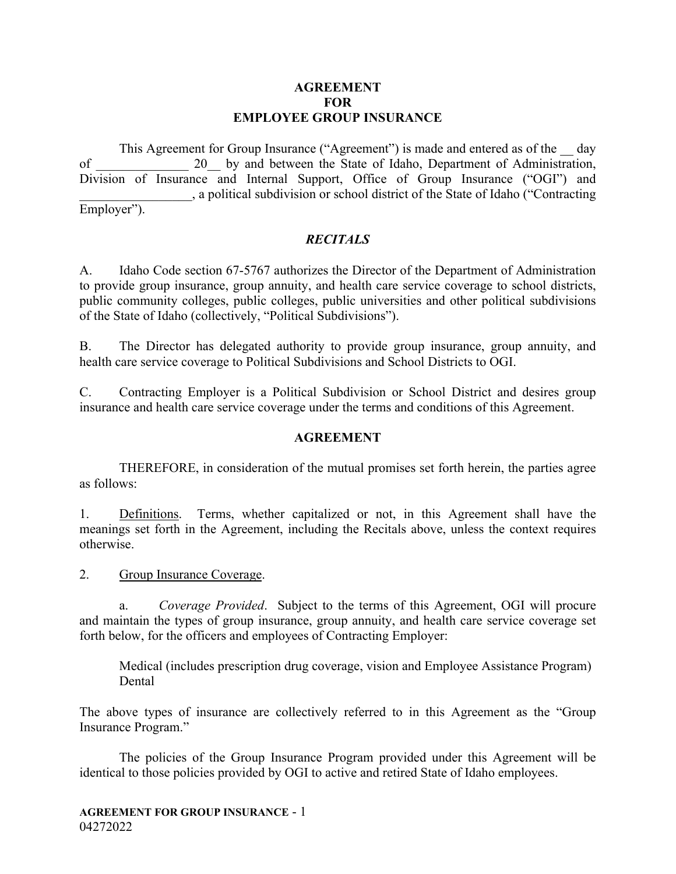### **AGREEMENT FOR EMPLOYEE GROUP INSURANCE**

This Agreement for Group Insurance ("Agreement") is made and entered as of the day of 20 by and between the State of Idaho, Department of Administration, Division of Insurance and Internal Support, Office of Group Insurance ("OGI") and \_\_\_\_\_\_\_\_\_\_\_\_\_\_\_\_\_, a political subdivision or school district of the State of Idaho ("Contracting Employer").

### *RECITALS*

A. Idaho Code section 67-5767 authorizes the Director of the Department of Administration to provide group insurance, group annuity, and health care service coverage to school districts, public community colleges, public colleges, public universities and other political subdivisions of the State of Idaho (collectively, "Political Subdivisions").

B. The Director has delegated authority to provide group insurance, group annuity, and health care service coverage to Political Subdivisions and School Districts to OGI.

C. Contracting Employer is a Political Subdivision or School District and desires group insurance and health care service coverage under the terms and conditions of this Agreement.

### **AGREEMENT**

THEREFORE, in consideration of the mutual promises set forth herein, the parties agree as follows:

1. Definitions. Terms, whether capitalized or not, in this Agreement shall have the meanings set forth in the Agreement, including the Recitals above, unless the context requires otherwise.

2. Group Insurance Coverage.

a. *Coverage Provided*. Subject to the terms of this Agreement, OGI will procure and maintain the types of group insurance, group annuity, and health care service coverage set forth below, for the officers and employees of Contracting Employer:

Medical (includes prescription drug coverage, vision and Employee Assistance Program) Dental

The above types of insurance are collectively referred to in this Agreement as the "Group Insurance Program."

The policies of the Group Insurance Program provided under this Agreement will be identical to those policies provided by OGI to active and retired State of Idaho employees.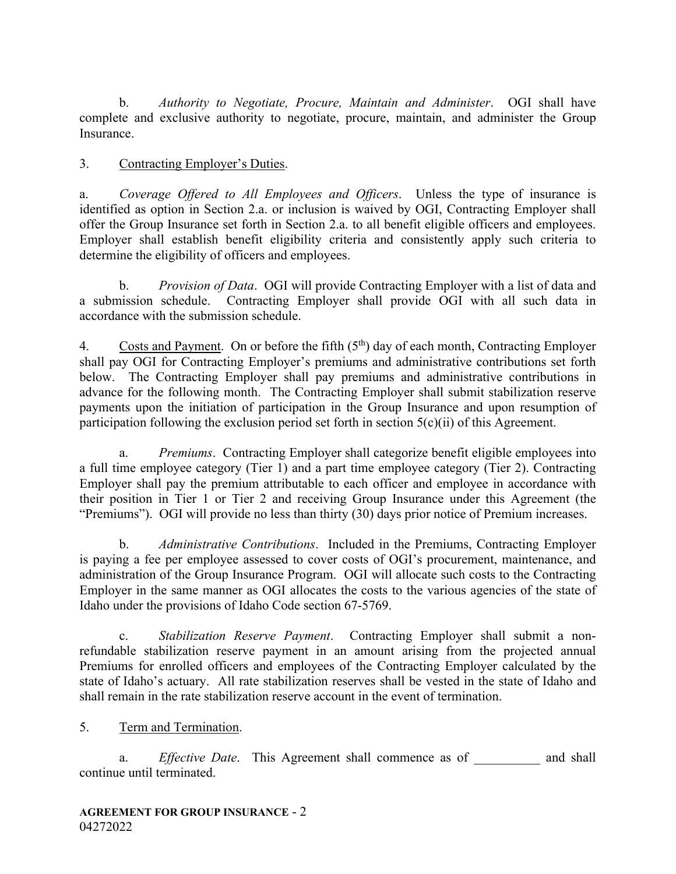b. *Authority to Negotiate, Procure, Maintain and Administer*. OGI shall have complete and exclusive authority to negotiate, procure, maintain, and administer the Group Insurance.

## 3. Contracting Employer's Duties.

a. *Coverage Offered to All Employees and Officers*. Unless the type of insurance is identified as option in Section 2.a. or inclusion is waived by OGI, Contracting Employer shall offer the Group Insurance set forth in Section 2.a. to all benefit eligible officers and employees. Employer shall establish benefit eligibility criteria and consistently apply such criteria to determine the eligibility of officers and employees.

b. *Provision of Data*. OGI will provide Contracting Employer with a list of data and a submission schedule. Contracting Employer shall provide OGI with all such data in accordance with the submission schedule.

4. Costs and Payment. On or before the fifth  $(5<sup>th</sup>)$  day of each month, Contracting Employer shall pay OGI for Contracting Employer's premiums and administrative contributions set forth below. The Contracting Employer shall pay premiums and administrative contributions in advance for the following month. The Contracting Employer shall submit stabilization reserve payments upon the initiation of participation in the Group Insurance and upon resumption of participation following the exclusion period set forth in section 5(c)(ii) of this Agreement.

 a. *Premiums*. Contracting Employer shall categorize benefit eligible employees into a full time employee category (Tier 1) and a part time employee category (Tier 2). Contracting Employer shall pay the premium attributable to each officer and employee in accordance with their position in Tier 1 or Tier 2 and receiving Group Insurance under this Agreement (the "Premiums"). OGI will provide no less than thirty (30) days prior notice of Premium increases.

 b. *Administrative Contributions*. Included in the Premiums, Contracting Employer is paying a fee per employee assessed to cover costs of OGI's procurement, maintenance, and administration of the Group Insurance Program. OGI will allocate such costs to the Contracting Employer in the same manner as OGI allocates the costs to the various agencies of the state of Idaho under the provisions of Idaho Code section 67-5769.

 c. *Stabilization Reserve Payment*. Contracting Employer shall submit a nonrefundable stabilization reserve payment in an amount arising from the projected annual Premiums for enrolled officers and employees of the Contracting Employer calculated by the state of Idaho's actuary. All rate stabilization reserves shall be vested in the state of Idaho and shall remain in the rate stabilization reserve account in the event of termination.

### 5. Term and Termination.

a. *Effective Date*. This Agreement shall commence as of and shall continue until terminated.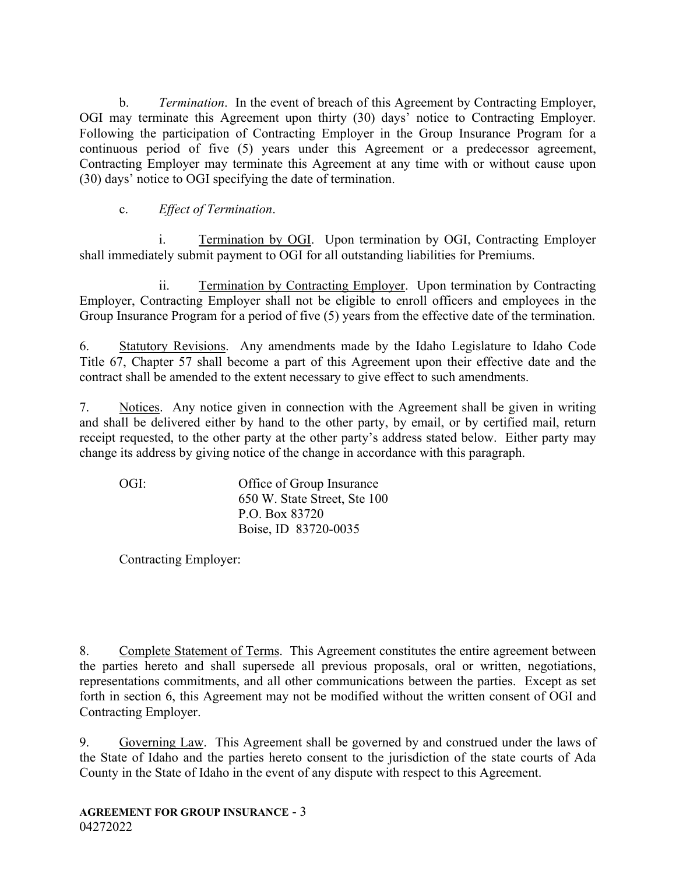b. *Termination*. In the event of breach of this Agreement by Contracting Employer, OGI may terminate this Agreement upon thirty (30) days' notice to Contracting Employer. Following the participation of Contracting Employer in the Group Insurance Program for a continuous period of five (5) years under this Agreement or a predecessor agreement, Contracting Employer may terminate this Agreement at any time with or without cause upon (30) days' notice to OGI specifying the date of termination.

## c. *Effect of Termination*.

 i. Termination by OGI. Upon termination by OGI, Contracting Employer shall immediately submit payment to OGI for all outstanding liabilities for Premiums.

 ii. Termination by Contracting Employer. Upon termination by Contracting Employer, Contracting Employer shall not be eligible to enroll officers and employees in the Group Insurance Program for a period of five (5) years from the effective date of the termination.

6. Statutory Revisions. Any amendments made by the Idaho Legislature to Idaho Code Title 67, Chapter 57 shall become a part of this Agreement upon their effective date and the contract shall be amended to the extent necessary to give effect to such amendments.

7. Notices. Any notice given in connection with the Agreement shall be given in writing and shall be delivered either by hand to the other party, by email, or by certified mail, return receipt requested, to the other party at the other party's address stated below. Either party may change its address by giving notice of the change in accordance with this paragraph.

OGI: Office of Group Insurance 650 W. State Street, Ste 100 P.O. Box 83720 Boise, ID 83720-0035

Contracting Employer:

8. Complete Statement of Terms. This Agreement constitutes the entire agreement between the parties hereto and shall supersede all previous proposals, oral or written, negotiations, representations commitments, and all other communications between the parties. Except as set forth in section 6, this Agreement may not be modified without the written consent of OGI and Contracting Employer.

9. Governing Law. This Agreement shall be governed by and construed under the laws of the State of Idaho and the parties hereto consent to the jurisdiction of the state courts of Ada County in the State of Idaho in the event of any dispute with respect to this Agreement.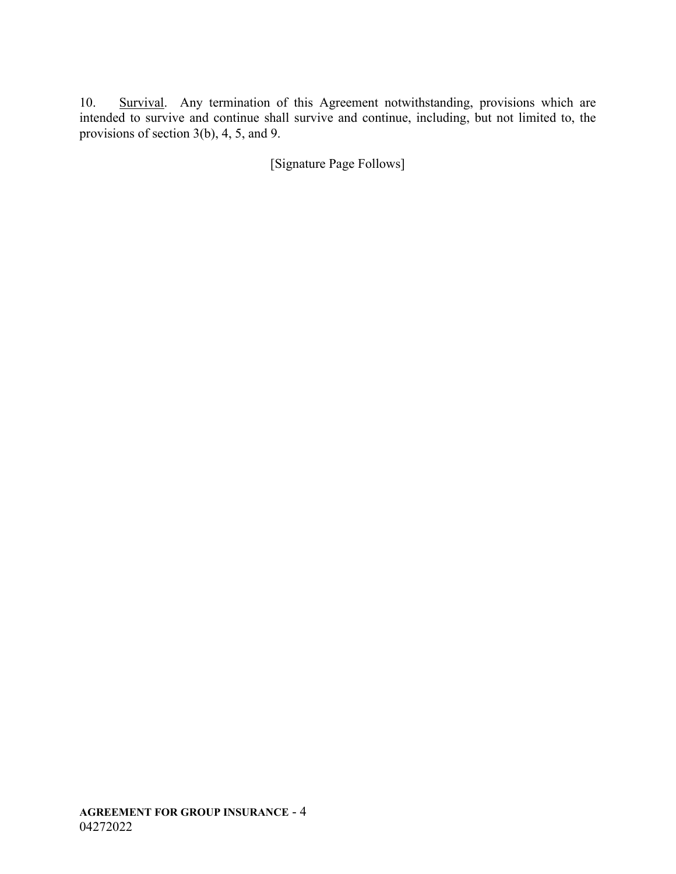10. Survival. Any termination of this Agreement notwithstanding, provisions which are intended to survive and continue shall survive and continue, including, but not limited to, the provisions of section 3(b), 4, 5, and 9.

[Signature Page Follows]